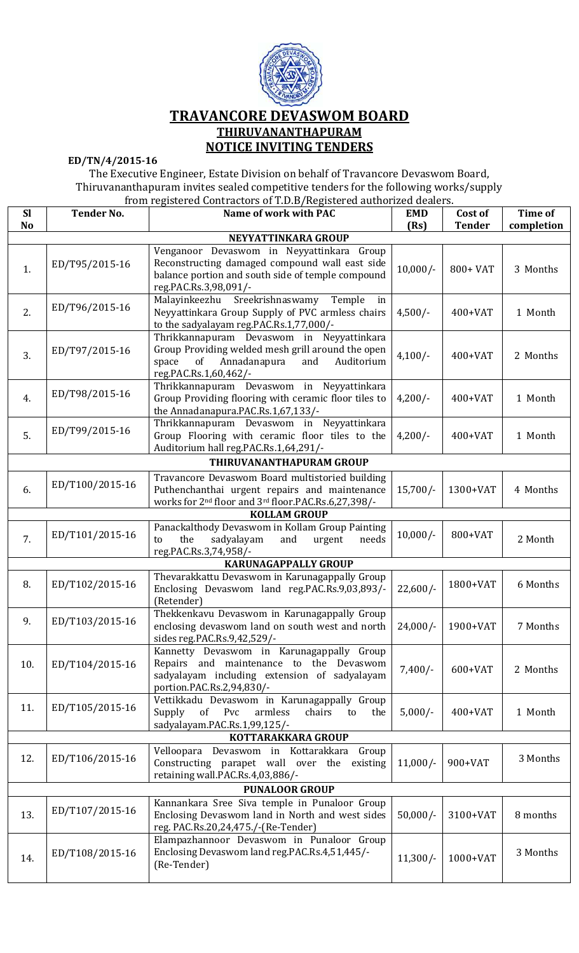

## **TRAVANCORE DEVASWOM BOARD THIRUVANANTHAPURAM NOTICE INVITING TENDERS**

**ED/TN/4/2015-16** 

The Executive Engineer, Estate Division on behalf of Travancore Devaswom Board, Thiruvananthapuram invites sealed competitive tenders for the following works/supply

| from registered Contractors of T.D.B/Registered authorized dealers. |                   |                                                                                                                                                                                 |                    |                          |                              |  |  |  |
|---------------------------------------------------------------------|-------------------|---------------------------------------------------------------------------------------------------------------------------------------------------------------------------------|--------------------|--------------------------|------------------------------|--|--|--|
| <b>Sl</b><br><b>No</b>                                              | <b>Tender No.</b> | Name of work with PAC                                                                                                                                                           | <b>EMD</b><br>(Rs) | Cost of<br><b>Tender</b> | <b>Time of</b><br>completion |  |  |  |
| NEYYATTINKARA GROUP                                                 |                   |                                                                                                                                                                                 |                    |                          |                              |  |  |  |
| Venganoor Devaswom in Neyyattinkara Group                           |                   |                                                                                                                                                                                 |                    |                          |                              |  |  |  |
| 1.                                                                  | ED/T95/2015-16    | Reconstructing damaged compound wall east side<br>balance portion and south side of temple compound<br>reg.PAC.Rs.3,98,091/-                                                    | $10,000/-$         | 800+ VAT                 | 3 Months                     |  |  |  |
| 2.                                                                  | ED/T96/2015-16    | Sreekrishnaswamy<br>Malayinkeezhu<br>Temple<br>in<br>Neyyattinkara Group Supply of PVC armless chairs<br>to the sadyalayam reg.PAC.Rs.1,77,000/-                                | $4,500/-$          | $400+VAT$                | 1 Month                      |  |  |  |
| 3.                                                                  | ED/T97/2015-16    | Thrikkannapuram Devaswom in Neyyattinkara<br>Group Providing welded mesh grill around the open<br>Auditorium<br>of<br>Annadanapura<br>space<br>and<br>reg.PAC.Rs.1,60,462/-     | $4,100/-$          | $400+VAT$                | 2 Months                     |  |  |  |
| 4.                                                                  | ED/T98/2015-16    | Thrikkannapuram Devaswom in Neyyattinkara<br>Group Providing flooring with ceramic floor tiles to<br>the Annadanapura.PAC.Rs.1,67,133/-                                         | $4,200/-$          | $400+VAT$                | 1 Month                      |  |  |  |
| 5.                                                                  | ED/T99/2015-16    | Thrikkannapuram Devaswom in Neyyattinkara<br>Group Flooring with ceramic floor tiles to the<br>Auditorium hall reg. PAC. Rs. 1, 64, 291/-                                       | $4,200/-$          | $400+VAT$                | 1 Month                      |  |  |  |
|                                                                     |                   | THIRUVANANTHAPURAM GROUP                                                                                                                                                        |                    |                          |                              |  |  |  |
| 6.                                                                  | ED/T100/2015-16   | Travancore Devaswom Board multistoried building<br>Puthenchanthai urgent repairs and maintenance<br>works for 2 <sup>nd</sup> floor and 3 <sup>rd</sup> floor.PAC.Rs.6,27,398/- | $15,700/-$         | 1300+VAT                 | 4 Months                     |  |  |  |
|                                                                     |                   | <b>KOLLAM GROUP</b>                                                                                                                                                             |                    |                          |                              |  |  |  |
| 7.                                                                  | ED/T101/2015-16   | Panackalthody Devaswom in Kollam Group Painting<br>the<br>sadyalayam<br>to<br>and<br>urgent<br>needs<br>reg.PAC.Rs.3,74,958/-                                                   | $10,000/-$         | 800+VAT                  | 2 Month                      |  |  |  |
|                                                                     |                   | <b>KARUNAGAPPALLY GROUP</b>                                                                                                                                                     |                    |                          |                              |  |  |  |
| 8.                                                                  | ED/T102/2015-16   | Thevarakkattu Devaswom in Karunagappally Group<br>Enclosing Devaswom land reg.PAC.Rs.9,03,893/-<br>(Retender)                                                                   | $22,600/-$         | 1800+VAT                 | 6 Months                     |  |  |  |
| 9.                                                                  | ED/T103/2015-16   | Thekkenkavu Devaswom in Karunagappally Group<br>enclosing devaswom land on south west and north<br>sides reg. PAC. Rs. 9, 42, 529/-                                             | $24,000/-$         | 1900+VAT                 | 7 Months                     |  |  |  |
| 10.                                                                 | ED/T104/2015-16   | Kannetty Devaswom in Karunagappally Group<br>Repairs and maintenance to the Devaswom<br>sadyalayam including extension of sadyalayam<br>portion.PAC.Rs.2,94,830/-               | $7,400/-$          | $600+VAT$                | 2 Months                     |  |  |  |
| 11.                                                                 | ED/T105/2015-16   | Vettikkadu Devaswom in Karunagappally Group<br>of<br>Pvc<br>Supply<br>armless<br>chairs<br>the<br>to<br>sadyalayam.PAC.Rs.1,99,125/-                                            | $5,000/-$          | $400+VAT$                | 1 Month                      |  |  |  |
| KOTTARAKKARA GROUP                                                  |                   |                                                                                                                                                                                 |                    |                          |                              |  |  |  |
| 12.                                                                 | ED/T106/2015-16   | Velloopara Devaswom in Kottarakkara<br>Group<br>Constructing parapet wall over the<br>existing<br>retaining wall.PAC.Rs.4,03,886/-                                              | $11,000/-$         | 900+VAT                  | 3 Months                     |  |  |  |
| <b>PUNALOOR GROUP</b>                                               |                   |                                                                                                                                                                                 |                    |                          |                              |  |  |  |
| 13.                                                                 | ED/T107/2015-16   | Kannankara Sree Siva temple in Punaloor Group<br>Enclosing Devaswom land in North and west sides<br>reg. PAC.Rs.20,24,475./-(Re-Tender)                                         | $50,000/-$         | 3100+VAT                 | 8 months                     |  |  |  |
| 14.                                                                 | ED/T108/2015-16   | Elampazhannoor Devaswom in Punaloor Group<br>Enclosing Devaswom land reg.PAC.Rs.4,51,445/-<br>(Re-Tender)                                                                       | $11,300/-$         | 1000+VAT                 | 3 Months                     |  |  |  |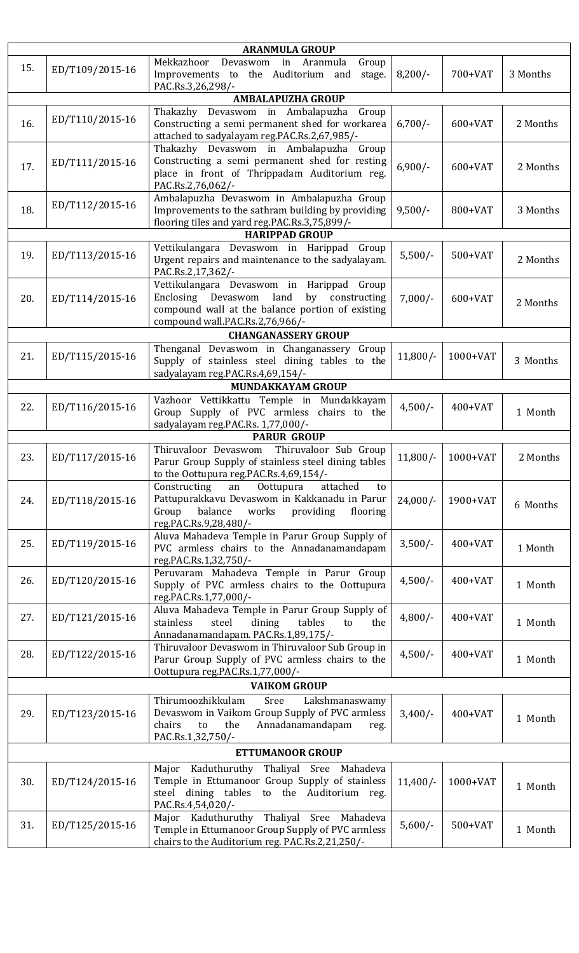| <b>ARANMULA GROUP</b>                         |                 |                                                                                                                                                                                   |            |            |          |  |  |  |
|-----------------------------------------------|-----------------|-----------------------------------------------------------------------------------------------------------------------------------------------------------------------------------|------------|------------|----------|--|--|--|
| 15.                                           | ED/T109/2015-16 | Mekkazhoor<br>Devaswom in<br>Aranmula<br>Group<br>Improvements to the Auditorium and<br>stage.                                                                                    | $8,200/-$  | 700+VAT    | 3 Months |  |  |  |
| PAC.Rs.3,26,298/-<br><b>AMBALAPUZHA GROUP</b> |                 |                                                                                                                                                                                   |            |            |          |  |  |  |
| Thakazhy Devaswom in Ambalapuzha<br>Group     |                 |                                                                                                                                                                                   |            |            |          |  |  |  |
| 16.                                           | ED/T110/2015-16 | Constructing a semi permanent shed for workarea<br>attached to sadyalayam reg.PAC.Rs.2,67,985/-                                                                                   | $6,700/-$  | 600+VAT    | 2 Months |  |  |  |
| 17.                                           | ED/T111/2015-16 | Thakazhy Devaswom in Ambalapuzha Group<br>Constructing a semi permanent shed for resting<br>place in front of Thrippadam Auditorium reg.<br>PAC.Rs.2,76,062/-                     | $6,900/-$  | 600+VAT    | 2 Months |  |  |  |
| 18.                                           | ED/T112/2015-16 | Ambalapuzha Devaswom in Ambalapuzha Group<br>Improvements to the sathram building by providing<br>flooring tiles and yard reg.PAC.Rs.3,75,899/-                                   | $9,500/-$  | 800+VAT    | 3 Months |  |  |  |
|                                               |                 | <b>HARIPPAD GROUP</b>                                                                                                                                                             |            |            |          |  |  |  |
| 19.                                           | ED/T113/2015-16 | Vettikulangara Devaswom in Harippad Group<br>Urgent repairs and maintenance to the sadyalayam.<br>PAC.Rs.2,17,362/-                                                               | $5,500/-$  | $500+VAT$  | 2 Months |  |  |  |
| 20.                                           | ED/T114/2015-16 | Vettikulangara Devaswom in Harippad Group<br>by constructing<br>Enclosing Devaswom<br>land<br>compound wall at the balance portion of existing<br>compound wall.PAC.Rs.2,76,966/- | $7,000/-$  | 600+VAT    | 2 Months |  |  |  |
|                                               |                 | <b>CHANGANASSERY GROUP</b>                                                                                                                                                        |            |            |          |  |  |  |
| 21.                                           | ED/T115/2015-16 | Thenganal Devaswom in Changanassery Group<br>Supply of stainless steel dining tables to the<br>sadyalayam reg.PAC.Rs.4,69,154/-                                                   | $11,800/-$ | 1000+VAT   | 3 Months |  |  |  |
|                                               |                 | MUNDAKKAYAM GROUP                                                                                                                                                                 |            |            |          |  |  |  |
| 22.                                           | ED/T116/2015-16 | Vazhoor Vettikkattu Temple in Mundakkayam<br>Group Supply of PVC armless chairs to the<br>sadyalayam reg.PAC.Rs. 1,77,000/-                                                       | $4,500/-$  | $400+VAT$  | 1 Month  |  |  |  |
|                                               |                 | <b>PARUR GROUP</b>                                                                                                                                                                |            |            |          |  |  |  |
| 23.                                           | ED/T117/2015-16 | Thiruvaloor Sub Group<br>Thiruvaloor Devaswom<br>Parur Group Supply of stainless steel dining tables<br>to the Oottupura reg.PAC.Rs.4,69,154/-                                    | $11,800/-$ | $1000+VAT$ | 2 Months |  |  |  |
| 24.                                           | ED/T118/2015-16 | Constructing<br>Oottupura<br>attached<br>an<br>to<br>Pattupurakkavu Devaswom in Kakkanadu in Parur<br>works<br>Group<br>balance<br>providing<br>flooring<br>reg.PAC.Rs.9,28,480/- | $24,000/-$ | 1900+VAT   | 6 Months |  |  |  |
| 25.                                           | ED/T119/2015-16 | Aluva Mahadeva Temple in Parur Group Supply of<br>PVC armless chairs to the Annadanamandapam<br>reg.PAC.Rs.1,32,750/-                                                             | $3,500/-$  | $400+VAT$  | 1 Month  |  |  |  |
| 26.                                           | ED/T120/2015-16 | Peruvaram Mahadeva Temple in Parur Group<br>Supply of PVC armless chairs to the Oottupura<br>reg.PAC.Rs.1,77,000/-                                                                | $4,500/-$  | $400+VAT$  | 1 Month  |  |  |  |
| 27.                                           | ED/T121/2015-16 | Aluva Mahadeva Temple in Parur Group Supply of<br>stainless<br>steel<br>dining<br>tables<br>the<br>to<br>Annadanamandapam. PAC.Rs.1,89,175/-                                      | $4,800/-$  | $400+VAT$  | 1 Month  |  |  |  |
| 28.                                           | ED/T122/2015-16 | Thiruvaloor Devaswom in Thiruvaloor Sub Group in<br>Parur Group Supply of PVC armless chairs to the<br>Oottupura reg.PAC.Rs.1,77,000/-                                            | $4,500/-$  | $400+VAT$  | 1 Month  |  |  |  |
| <b>VAIKOM GROUP</b>                           |                 |                                                                                                                                                                                   |            |            |          |  |  |  |
| 29.                                           | ED/T123/2015-16 | Thirumoozhikkulam<br>Sree<br>Lakshmanaswamy<br>Devaswom in Vaikom Group Supply of PVC armless<br>Annadanamandapam<br>the<br>chairs<br>to<br>reg.<br>PAC.Rs.1,32,750/-             | $3,400/-$  | $400+VAT$  | 1 Month  |  |  |  |
| <b>ETTUMANOOR GROUP</b>                       |                 |                                                                                                                                                                                   |            |            |          |  |  |  |
| 30.                                           | ED/T124/2015-16 | Major Kaduthuruthy Thaliyal Sree Mahadeva<br>Temple in Ettumanoor Group Supply of stainless<br>steel dining tables to the Auditorium reg.<br>PAC.Rs.4,54,020/-                    | $11,400/-$ | 1000+VAT   | 1 Month  |  |  |  |
| 31.                                           | ED/T125/2015-16 | Major Kaduthuruthy Thaliyal Sree Mahadeva<br>Temple in Ettumanoor Group Supply of PVC armless<br>chairs to the Auditorium reg. PAC.Rs.2,21,250/-                                  | $5,600/-$  | $500+VAT$  | 1 Month  |  |  |  |